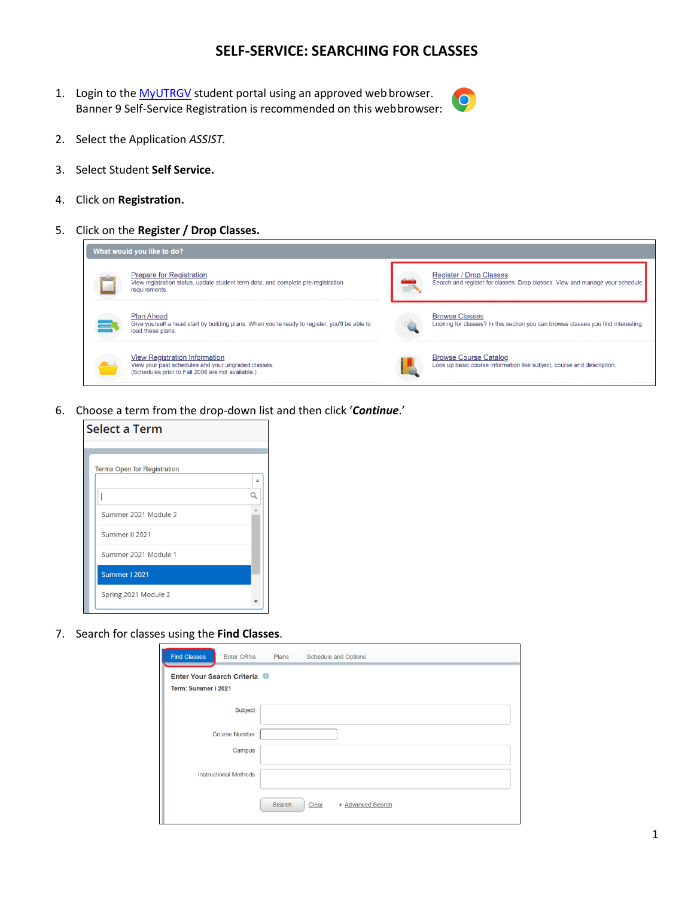# **SELF-SERVICE: SEARCHING FOR CLASSES**

1. Login to the [MyUTRGV](https://my.utrgv.edu/home) student portal using an approved web browser. Banner 9 Self-Service Registration is recommended on this webbrowser:



- 2. Select the Application *ASSIST.*
- 3. Select Student **Self Service.**
- 4. Click on **Registration.**
- 5. Click on the **Register / Drop Classes.**



6. Choose a term from the drop-down list and then click '*Continue*.'



7. Search for classes using the **Find Classes**.

| <b>Find Classes</b><br><b>Enter CRNs</b>          | Plans<br>Schedule and Options        |  |
|---------------------------------------------------|--------------------------------------|--|
| Enter Your Search Criteria<br>Term: Summer I 2021 |                                      |  |
| Subject                                           |                                      |  |
| <b>Course Number</b>                              |                                      |  |
| Campus                                            |                                      |  |
| <b>Instructional Methods</b>                      |                                      |  |
|                                                   | Search<br>▶ Advanced Search<br>Clear |  |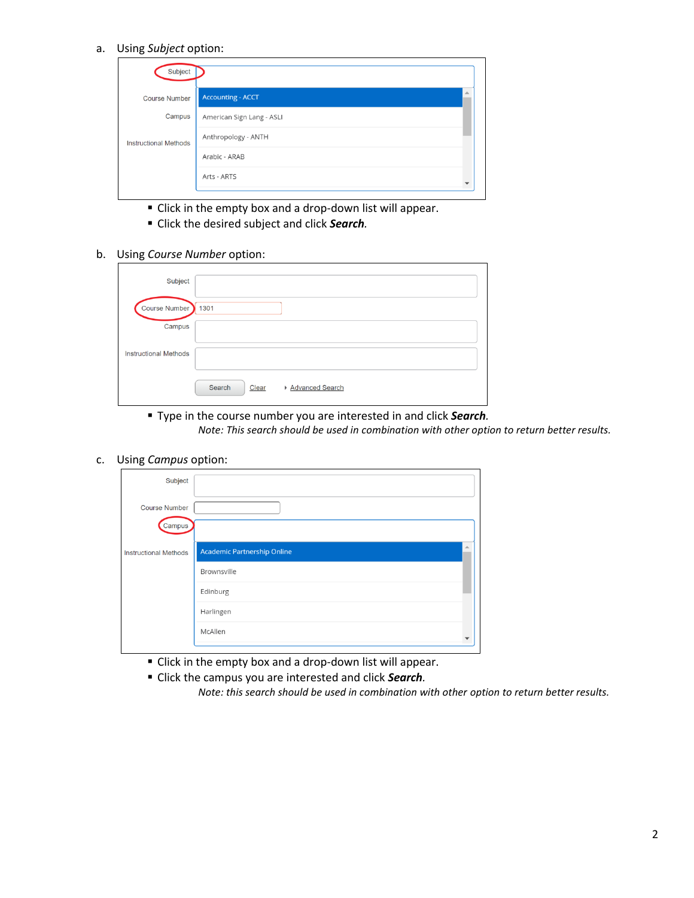a. Using *Subject* option:

| Subject                      |                           |  |
|------------------------------|---------------------------|--|
| <b>Course Number</b>         | <b>Accounting - ACCT</b>  |  |
| Campus                       | American Sign Lang - ASLI |  |
| <b>Instructional Methods</b> | Anthropology - ANTH       |  |
|                              | Arabic - ARAB             |  |
|                              | Arts - ARTS               |  |
|                              |                           |  |

- Click in the empty box and a drop-down list will appear.
- Click the desired subject and click *Search.*

#### b. Using *Course Number* option:

| Subject                      |                                      |
|------------------------------|--------------------------------------|
| Course Number                | 1301                                 |
| Campus                       |                                      |
| <b>Instructional Methods</b> |                                      |
|                              | Search<br>Clear<br>▶ Advanced Search |

▪ Type in the course number you are interested in and click *Search.*

*Note: This search should be used in combination with other option to return better results.*

### c. Using *Campus* option:

| Subject                      |                                         |  |
|------------------------------|-----------------------------------------|--|
| <b>Course Number</b>         |                                         |  |
| Campus                       |                                         |  |
| <b>Instructional Methods</b> | ۸<br><b>Academic Partnership Online</b> |  |
|                              | Brownsville                             |  |
|                              | Edinburg                                |  |
|                              | Harlingen                               |  |
|                              | McAllen                                 |  |
|                              |                                         |  |

- Click in the empty box and a drop-down list will appear.
- Click the campus you are interested and click *Search.*

*Note: this search should be used in combination with other option to return better results.*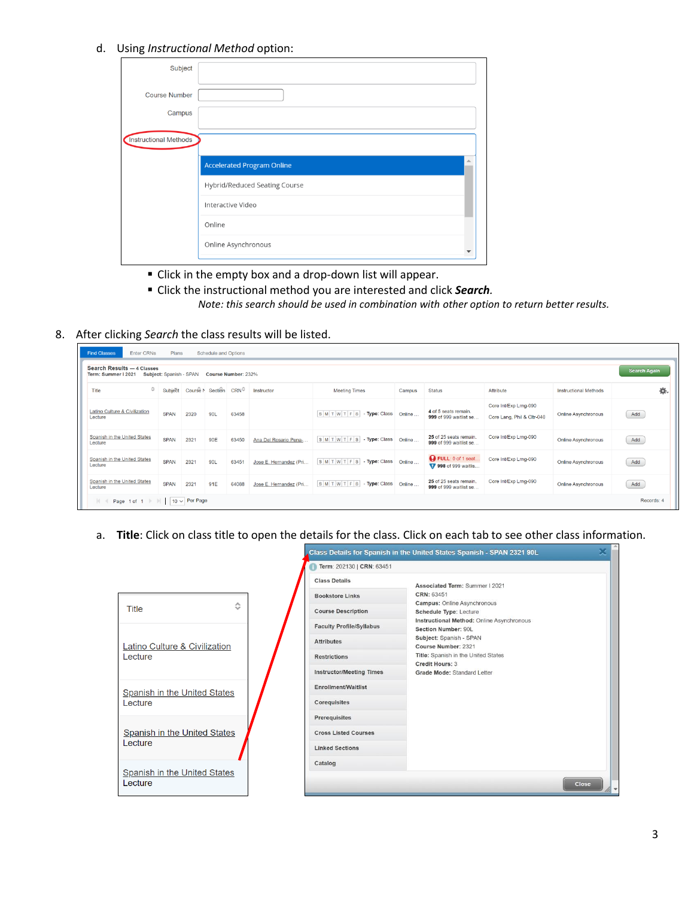### d. Using *Instructional Method* option:

| Subject               |                                   |    |
|-----------------------|-----------------------------------|----|
| <b>Course Number</b>  |                                   |    |
| Campus                |                                   |    |
| Instructional Methods |                                   |    |
|                       | <b>Accelerated Program Online</b> | a. |
|                       | Hybrid/Reduced Seating Course     |    |
|                       | Interactive Video                 |    |
|                       | Online                            |    |
|                       | Online Asynchronous               |    |

- Click in the empty box and a drop-down list will appear.
- Click the instructional method you are interested and click *Search. Note: this search should be used in combination with other option to return better results.*

## 8. After clicking *Search* the class results will be listed.

| <b>Find Classes</b><br><b>Enter CRNs</b><br>Search Results - 4 Classes<br>Term: Summer I 2021 | Plans<br>Subject: Spanish - SPAN |                                   | Schedule and Options | Course Number: 232% |                        |                            |        |                                                  |                                                     |                              | <b>Search Again</b> |
|-----------------------------------------------------------------------------------------------|----------------------------------|-----------------------------------|----------------------|---------------------|------------------------|----------------------------|--------|--------------------------------------------------|-----------------------------------------------------|------------------------------|---------------------|
| ≎<br>Title                                                                                    | Subject                          | Course N Section CRN <sup>C</sup> |                      |                     | Instructor             | <b>Meeting Times</b>       | Campus | <b>Status</b>                                    | Attribute                                           | <b>Instructional Methods</b> | 森.                  |
| Latino Culture & Civilization<br>Lecture                                                      | <b>SPAN</b>                      | 2320                              | 90L                  | 63458               |                        | SMTWTFS-Type: Class Online |        | 4 of 5 seats remain.<br>999 of 999 waitlist se   | Core Int/Exp Lrng-090<br>Core Lang, Phil & Cltr-040 | <b>Online Asynchronous</b>   | Add                 |
| Spanish in the United States<br>Lecture                                                       | <b>SPAN</b>                      | 2321                              | 90E                  | 63450               | Ana Del Rosario Pena-  | SMTWTFS-Type: Class Online |        | 25 of 25 seats remain.<br>999 of 999 waitlist se | Core Int/Exp Lrng-090                               | <b>Online Asynchronous</b>   | Add                 |
| Spanish in the United States<br>Lecture                                                       | <b>SPAN</b>                      | 2321                              | 90L                  | 63451               | Jose E. Hernandez (Pri | SMTWTFS-Type: Class Online |        | FULL: 0 of 1 seat<br>998 of 999 waitlis          | Core Int/Exp Lrng-090                               | <b>Online Asynchronous</b>   | Add                 |
| Spanish in the United States<br>Lecture                                                       | <b>SPAN</b>                      | 2321                              | 91E                  | 64088               | Jose E. Hernandez (Pri | SMTWTFS-Type: Class Online |        | 25 of 25 seats remain.<br>999 of 999 waitlist se | Core Int/Exp Lrng-090                               | <b>Online Asynchronous</b>   | Add                 |
| K<br>Page 1 of 1 $\ $                                                                         |                                  | $10 \vee$ Per Page                |                      |                     |                        |                            |        |                                                  |                                                     |                              | Records: 4          |

a. **Title**: Click on class title to open the details for the class. Click on each tab to see other class information.

|                                                |   |                                 | pluss betains for opamsmini the onnea others opamsminion for the 2021 over |
|------------------------------------------------|---|---------------------------------|----------------------------------------------------------------------------|
|                                                |   | Term: 202130   CRN: 63451       |                                                                            |
|                                                |   | <b>Class Details</b>            | Associated Term: Summer I 2021                                             |
|                                                |   | <b>Bookstore Links</b>          | CRN: 63451<br><b>Campus: Online Asynchronous</b>                           |
| <b>Title</b>                                   | ≎ | <b>Course Description</b>       | Schedule Type: Lecture                                                     |
|                                                |   | <b>Faculty Profile/Syllabus</b> | Instructional Method: Online Asynchronous<br>Section Number: 90L           |
| Latino Culture & Civilization                  |   | <b>Attributes</b>               | Subject: Spanish - SPAN<br>Course Number: 2321                             |
| Lecture                                        |   | <b>Restrictions</b>             | Title: Spanish in the United States<br>Credit Hours: 3                     |
|                                                |   | <b>Instructor/Meeting Times</b> | Grade Mode: Standard Letter                                                |
| Spanish in the United States                   |   | <b>Enrollment/Waitlist</b>      |                                                                            |
| Lecture                                        |   | Corequisites                    |                                                                            |
|                                                |   | Prerequisites                   |                                                                            |
| Spanish in the United States                   |   | <b>Cross Listed Courses</b>     |                                                                            |
| Lecture                                        |   | <b>Linked Sections</b>          |                                                                            |
|                                                |   | Catalog                         |                                                                            |
| <b>Spanish in the United States</b><br>Lecture |   |                                 | <b>Close</b>                                                               |
|                                                |   |                                 |                                                                            |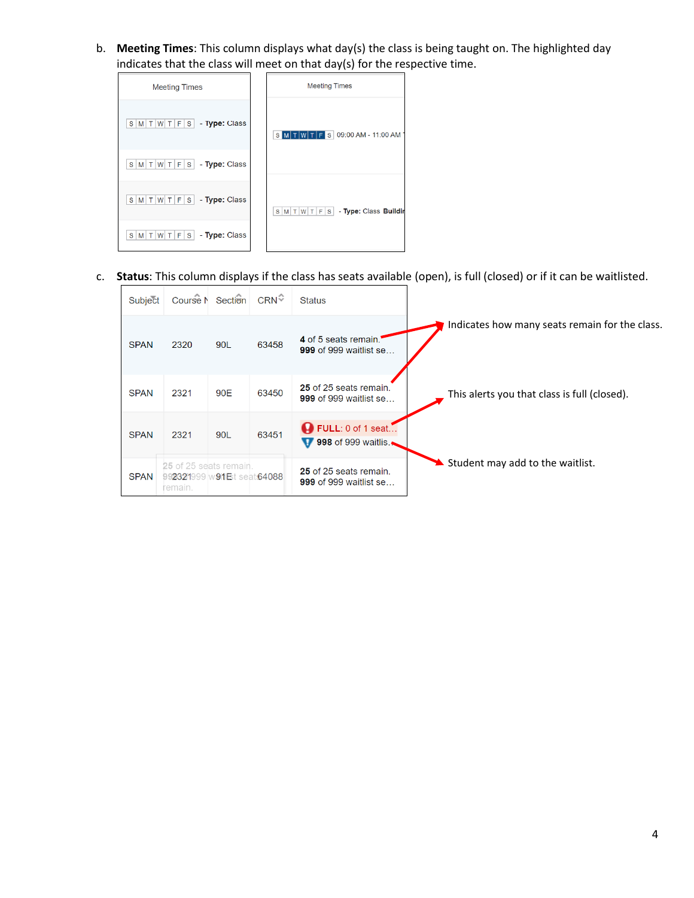b. **Meeting Times**: This column displays what day(s) the class is being taught on. The highlighted day indicates that the class will meet on that day(s) for the respective time.

| <b>Meeting Times</b>                                             | <b>Meeting Times</b>                   |
|------------------------------------------------------------------|----------------------------------------|
| $S \mid M \mid T \mid W \mid T \mid F \mid S \mid$ - Type: Class | S M T W T F S 09:00 AM - 11:00 AM      |
| - Type: Class<br>$S$ $M$ $T$ $W$ $T$ $F$ $S$                     |                                        |
| - Type: Class<br>$S$ M T W T F S                                 | $S M T W T F S $ - Type: Class Buildir |
| $ W T F S $ - Type: Class<br>$S$   M   T                         |                                        |

c. **Status**: This column displays if the class has seats available (open), is full (closed) or if it can be waitlisted.

| Subject     |                                                                | Course M Section | $CRN^{\mathcal{Z}}$ | <b>Status</b>                                           |                                                |
|-------------|----------------------------------------------------------------|------------------|---------------------|---------------------------------------------------------|------------------------------------------------|
| <b>SPAN</b> | 2320                                                           | 90L              | 63458               | 4 of 5 seats remain.<br><b>999 of 999 waitlist se</b>   | Indicates how many seats remain for the class. |
| <b>SPAN</b> | 2321                                                           | 90E              | 63450               | 25 of 25 seats remain.<br><b>999 of 999 waitlist se</b> | This alerts you that class is full (closed).   |
| <b>SPAN</b> | 2321                                                           | 90L              | 63451               | FULL: 0 of 1 seat<br>998 of 999 waitlis.<br>v           |                                                |
| <b>SPAN</b> | 25 of 25 seats remain.<br>992321999 w91Et seat64088<br>remain. |                  |                     | 25 of 25 seats remain.<br><b>999 of 999 waitlist se</b> | Student may add to the waitlist.               |